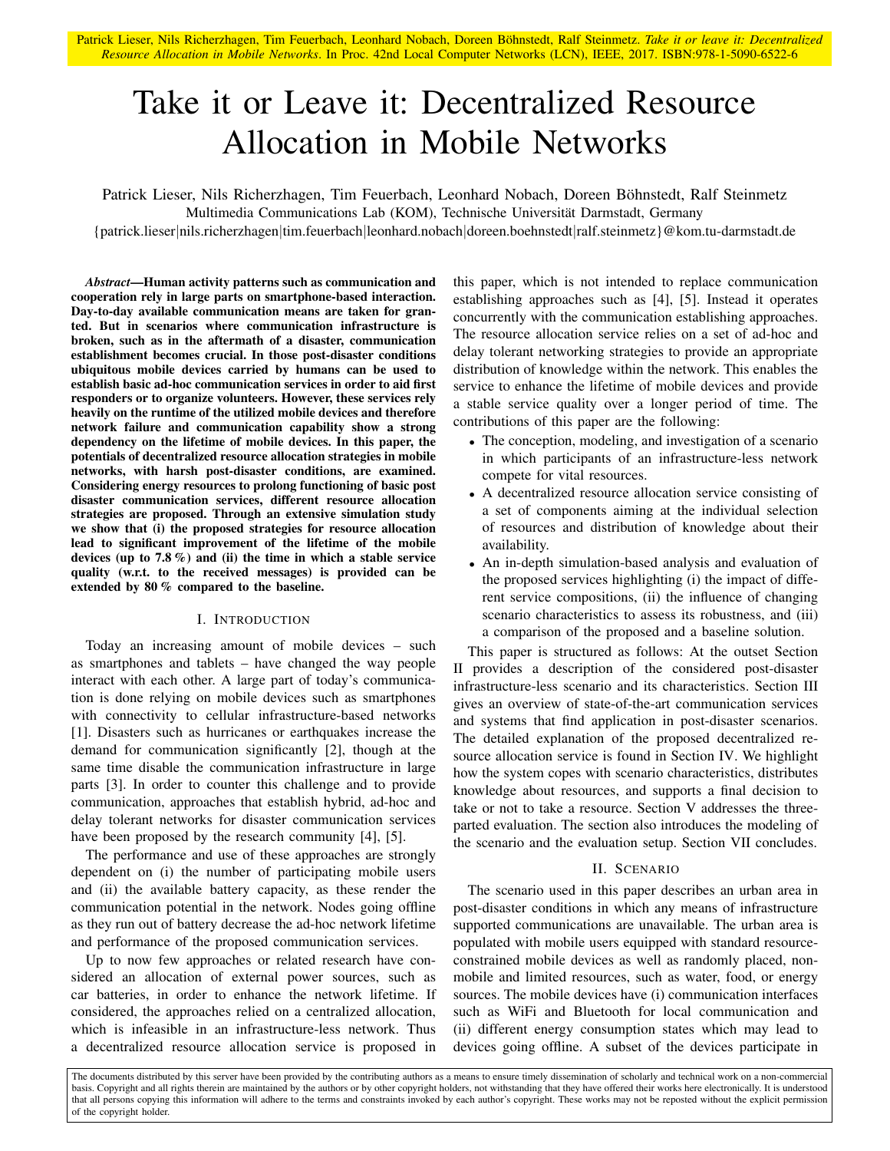Patrick Lieser, Nils Richerzhagen, Tim Feuerbach, Leonhard Nobach, Doreen Böhnstedt, Ralf Steinmetz. *Take it or leave it: Decentralized Resource Allocation in Mobile Networks*. In Proc. 42nd Local Computer Networks (LCN), IEEE, 2017. ISBN:978-1-5090-6522-6

# Take it or Leave it: Decentralized Resource Allocation in Mobile Networks

Patrick Lieser, Nils Richerzhagen, Tim Feuerbach, Leonhard Nobach, Doreen Böhnstedt, Ralf Steinmetz

Multimedia Communications Lab (KOM), Technische Universität Darmstadt, Germany

{patrick.lieser|nils.richerzhagen|tim.feuerbach|leonhard.nobach|doreen.boehnstedt|ralf.steinmetz}@kom.tu-darmstadt.de

*Abstract*—Human activity patterns such as communication and cooperation rely in large parts on smartphone-based interaction. Day-to-day available communication means are taken for granted. But in scenarios where communication infrastructure is broken, such as in the aftermath of a disaster, communication establishment becomes crucial. In those post-disaster conditions ubiquitous mobile devices carried by humans can be used to establish basic ad-hoc communication services in order to aid first responders or to organize volunteers. However, these services rely heavily on the runtime of the utilized mobile devices and therefore network failure and communication capability show a strong dependency on the lifetime of mobile devices. In this paper, the potentials of decentralized resource allocation strategies in mobile networks, with harsh post-disaster conditions, are examined. Considering energy resources to prolong functioning of basic post disaster communication services, different resource allocation strategies are proposed. Through an extensive simulation study we show that (i) the proposed strategies for resource allocation lead to significant improvement of the lifetime of the mobile devices (up to  $7.8\%$ ) and (ii) the time in which a stable service quality (w.r.t. to the received messages) is provided can be extended by 80 % compared to the baseline.

#### I. INTRODUCTION

Today an increasing amount of mobile devices – such as smartphones and tablets – have changed the way people interact with each other. A large part of today's communication is done relying on mobile devices such as smartphones with connectivity to cellular infrastructure-based networks [1]. Disasters such as hurricanes or earthquakes increase the demand for communication significantly [2], though at the same time disable the communication infrastructure in large parts [3]. In order to counter this challenge and to provide communication, approaches that establish hybrid, ad-hoc and delay tolerant networks for disaster communication services have been proposed by the research community [4], [5].

The performance and use of these approaches are strongly dependent on (i) the number of participating mobile users and (ii) the available battery capacity, as these render the communication potential in the network. Nodes going offline as they run out of battery decrease the ad-hoc network lifetime and performance of the proposed communication services.

Up to now few approaches or related research have considered an allocation of external power sources, such as car batteries, in order to enhance the network lifetime. If considered, the approaches relied on a centralized allocation, which is infeasible in an infrastructure-less network. Thus a decentralized resource allocation service is proposed in

this paper, which is not intended to replace communication establishing approaches such as [4], [5]. Instead it operates concurrently with the communication establishing approaches. The resource allocation service relies on a set of ad-hoc and delay tolerant networking strategies to provide an appropriate distribution of knowledge within the network. This enables the service to enhance the lifetime of mobile devices and provide a stable service quality over a longer period of time. The contributions of this paper are the following:

- The conception, modeling, and investigation of a scenario in which participants of an infrastructure-less network compete for vital resources.
- A decentralized resource allocation service consisting of a set of components aiming at the individual selection of resources and distribution of knowledge about their availability.
- An in-depth simulation-based analysis and evaluation of the proposed services highlighting (i) the impact of different service compositions, (ii) the influence of changing scenario characteristics to assess its robustness, and (iii) a comparison of the proposed and a baseline solution.

This paper is structured as follows: At the outset Section II provides a description of the considered post-disaster infrastructure-less scenario and its characteristics. Section III gives an overview of state-of-the-art communication services and systems that find application in post-disaster scenarios. The detailed explanation of the proposed decentralized resource allocation service is found in Section IV. We highlight how the system copes with scenario characteristics, distributes knowledge about resources, and supports a final decision to take or not to take a resource. Section V addresses the threeparted evaluation. The section also introduces the modeling of the scenario and the evaluation setup. Section VII concludes.

#### II. SCENARIO

The scenario used in this paper describes an urban area in post-disaster conditions in which any means of infrastructure supported communications are unavailable. The urban area is populated with mobile users equipped with standard resourceconstrained mobile devices as well as randomly placed, nonmobile and limited resources, such as water, food, or energy sources. The mobile devices have (i) communication interfaces such as WiFi and Bluetooth for local communication and (ii) different energy consumption states which may lead to devices going offline. A subset of the devices participate in

The documents distributed by this server have been provided by the contributing authors as a means to ensure timely dissemination of scholarly and technical work on a non-commercial basis. Copyright and all rights therein are maintained by the authors or by other copyright holders, not withstanding that they have offered their works here electronically. It is understood that all persons copying this information will adhere to the terms and constraints invoked by each author's copyright. These works may not be reposted without the explicit permission of the copyright holder.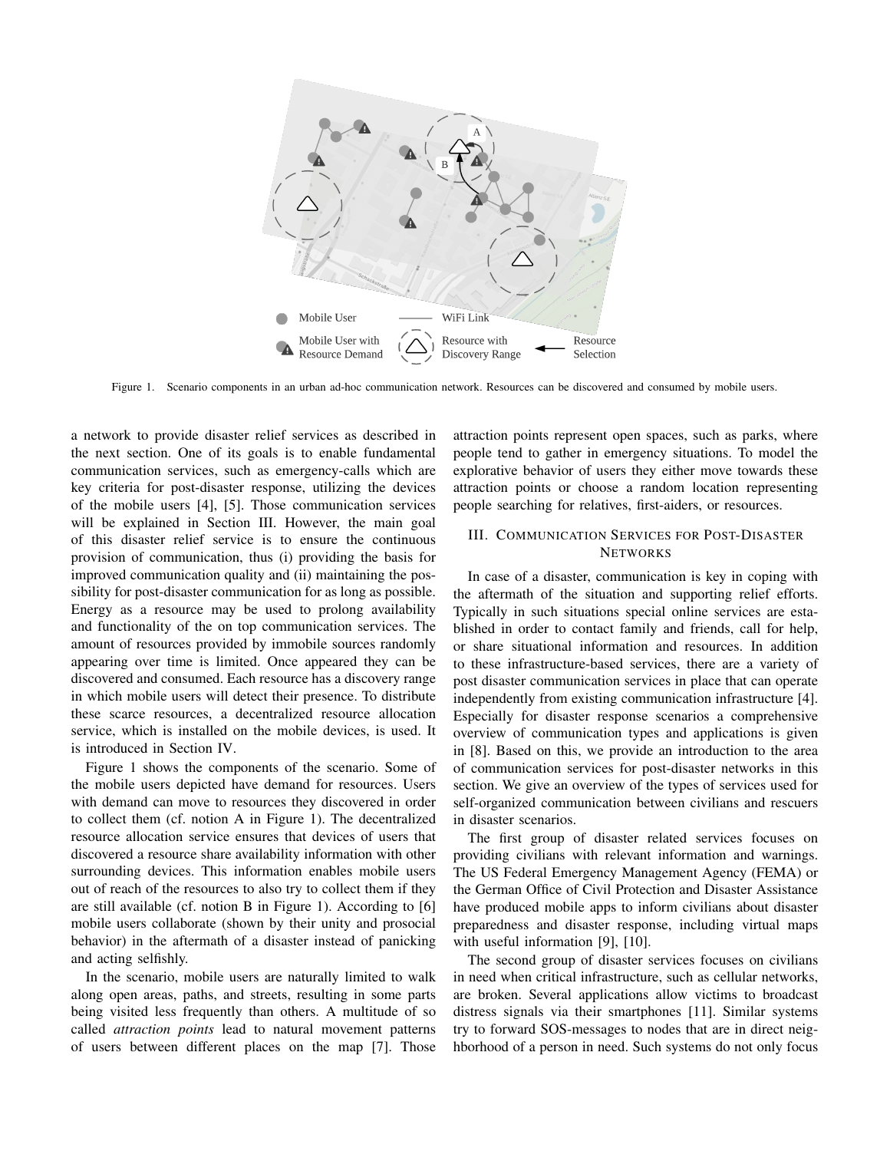

Figure 1. Scenario components in an urban ad-hoc communication network. Resources can be discovered and consumed by mobile users.

a network to provide disaster relief services as described in the next section. One of its goals is to enable fundamental communication services, such as emergency-calls which are key criteria for post-disaster response, utilizing the devices of the mobile users [4], [5]. Those communication services will be explained in Section III. However, the main goal of this disaster relief service is to ensure the continuous provision of communication, thus (i) providing the basis for improved communication quality and (ii) maintaining the possibility for post-disaster communication for as long as possible. Energy as a resource may be used to prolong availability and functionality of the on top communication services. The amount of resources provided by immobile sources randomly appearing over time is limited. Once appeared they can be discovered and consumed. Each resource has a discovery range in which mobile users will detect their presence. To distribute these scarce resources, a decentralized resource allocation service, which is installed on the mobile devices, is used. It is introduced in Section IV.

Figure 1 shows the components of the scenario. Some of the mobile users depicted have demand for resources. Users with demand can move to resources they discovered in order to collect them (cf. notion A in Figure 1). The decentralized resource allocation service ensures that devices of users that discovered a resource share availability information with other surrounding devices. This information enables mobile users out of reach of the resources to also try to collect them if they are still available (cf. notion B in Figure 1). According to [6] mobile users collaborate (shown by their unity and prosocial behavior) in the aftermath of a disaster instead of panicking and acting selfishly.

In the scenario, mobile users are naturally limited to walk along open areas, paths, and streets, resulting in some parts being visited less frequently than others. A multitude of so called *attraction points* lead to natural movement patterns of users between different places on the map [7]. Those attraction points represent open spaces, such as parks, where people tend to gather in emergency situations. To model the explorative behavior of users they either move towards these attraction points or choose a random location representing people searching for relatives, first-aiders, or resources.

## III. COMMUNICATION SERVICES FOR POST-DISASTER **NETWORKS**

In case of a disaster, communication is key in coping with the aftermath of the situation and supporting relief efforts. Typically in such situations special online services are established in order to contact family and friends, call for help, or share situational information and resources. In addition to these infrastructure-based services, there are a variety of post disaster communication services in place that can operate independently from existing communication infrastructure [4]. Especially for disaster response scenarios a comprehensive overview of communication types and applications is given in [8]. Based on this, we provide an introduction to the area of communication services for post-disaster networks in this section. We give an overview of the types of services used for self-organized communication between civilians and rescuers in disaster scenarios.

The first group of disaster related services focuses on providing civilians with relevant information and warnings. The US Federal Emergency Management Agency (FEMA) or the German Office of Civil Protection and Disaster Assistance have produced mobile apps to inform civilians about disaster preparedness and disaster response, including virtual maps with useful information [9], [10].

The second group of disaster services focuses on civilians in need when critical infrastructure, such as cellular networks, are broken. Several applications allow victims to broadcast distress signals via their smartphones [11]. Similar systems try to forward SOS-messages to nodes that are in direct neighborhood of a person in need. Such systems do not only focus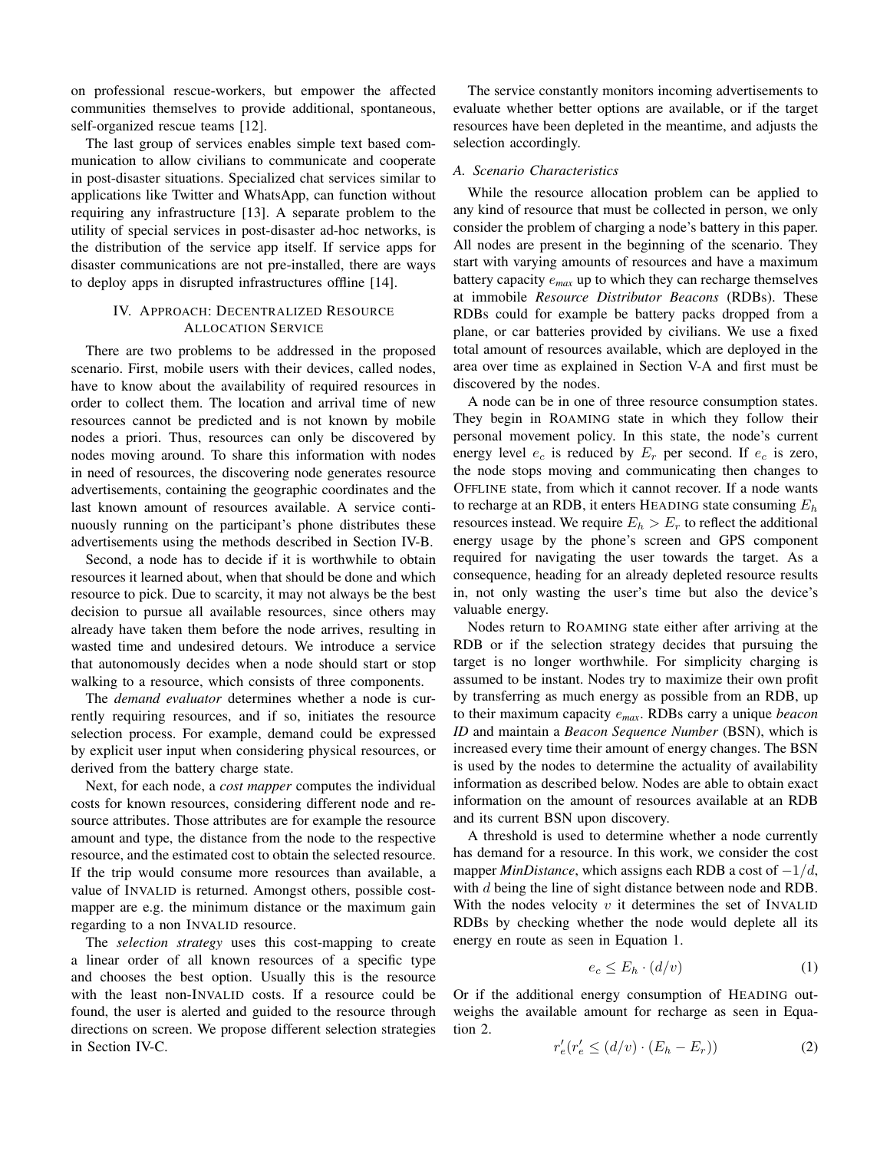on professional rescue-workers, but empower the affected communities themselves to provide additional, spontaneous, self-organized rescue teams [12].

The last group of services enables simple text based communication to allow civilians to communicate and cooperate in post-disaster situations. Specialized chat services similar to applications like Twitter and WhatsApp, can function without requiring any infrastructure [13]. A separate problem to the utility of special services in post-disaster ad-hoc networks, is the distribution of the service app itself. If service apps for disaster communications are not pre-installed, there are ways to deploy apps in disrupted infrastructures offline [14].

## IV. APPROACH: DECENTRALIZED RESOURCE ALLOCATION SERVICE

There are two problems to be addressed in the proposed scenario. First, mobile users with their devices, called nodes, have to know about the availability of required resources in order to collect them. The location and arrival time of new resources cannot be predicted and is not known by mobile nodes a priori. Thus, resources can only be discovered by nodes moving around. To share this information with nodes in need of resources, the discovering node generates resource advertisements, containing the geographic coordinates and the last known amount of resources available. A service continuously running on the participant's phone distributes these advertisements using the methods described in Section IV-B.

Second, a node has to decide if it is worthwhile to obtain resources it learned about, when that should be done and which resource to pick. Due to scarcity, it may not always be the best decision to pursue all available resources, since others may already have taken them before the node arrives, resulting in wasted time and undesired detours. We introduce a service that autonomously decides when a node should start or stop walking to a resource, which consists of three components.

The *demand evaluator* determines whether a node is currently requiring resources, and if so, initiates the resource selection process. For example, demand could be expressed by explicit user input when considering physical resources, or derived from the battery charge state.

Next, for each node, a *cost mapper* computes the individual costs for known resources, considering different node and resource attributes. Those attributes are for example the resource amount and type, the distance from the node to the respective resource, and the estimated cost to obtain the selected resource. If the trip would consume more resources than available, a value of INVALID is returned. Amongst others, possible costmapper are e.g. the minimum distance or the maximum gain regarding to a non INVALID resource.

The *selection strategy* uses this cost-mapping to create a linear order of all known resources of a specific type and chooses the best option. Usually this is the resource with the least non-INVALID costs. If a resource could be found, the user is alerted and guided to the resource through directions on screen. We propose different selection strategies in Section IV-C.

The service constantly monitors incoming advertisements to evaluate whether better options are available, or if the target resources have been depleted in the meantime, and adjusts the selection accordingly.

#### *A. Scenario Characteristics*

While the resource allocation problem can be applied to any kind of resource that must be collected in person, we only consider the problem of charging a node's battery in this paper. All nodes are present in the beginning of the scenario. They start with varying amounts of resources and have a maximum battery capacity e*max* up to which they can recharge themselves at immobile *Resource Distributor Beacons* (RDBs). These RDBs could for example be battery packs dropped from a plane, or car batteries provided by civilians. We use a fixed total amount of resources available, which are deployed in the area over time as explained in Section V-A and first must be discovered by the nodes.

A node can be in one of three resource consumption states. They begin in ROAMING state in which they follow their personal movement policy. In this state, the node's current energy level  $e_c$  is reduced by  $E_r$  per second. If  $e_c$  is zero, the node stops moving and communicating then changes to OFFLINE state, from which it cannot recover. If a node wants to recharge at an RDB, it enters HEADING state consuming  $E_h$ resources instead. We require  $E_h > E_r$  to reflect the additional energy usage by the phone's screen and GPS component required for navigating the user towards the target. As a consequence, heading for an already depleted resource results in, not only wasting the user's time but also the device's valuable energy.

Nodes return to ROAMING state either after arriving at the RDB or if the selection strategy decides that pursuing the target is no longer worthwhile. For simplicity charging is assumed to be instant. Nodes try to maximize their own profit by transferring as much energy as possible from an RDB, up to their maximum capacity e*max*. RDBs carry a unique *beacon ID* and maintain a *Beacon Sequence Number* (BSN), which is increased every time their amount of energy changes. The BSN is used by the nodes to determine the actuality of availability information as described below. Nodes are able to obtain exact information on the amount of resources available at an RDB and its current BSN upon discovery.

A threshold is used to determine whether a node currently has demand for a resource. In this work, we consider the cost mapper *MinDistance*, which assigns each RDB a cost of  $-1/d$ , with d being the line of sight distance between node and RDB. With the nodes velocity  $v$  it determines the set of INVALID RDBs by checking whether the node would deplete all its energy en route as seen in Equation 1.

$$
e_c \le E_h \cdot (d/v) \tag{1}
$$

Or if the additional energy consumption of HEADING outweighs the available amount for recharge as seen in Equation 2.

$$
r'_e(r'_e \le (d/v) \cdot (E_h - E_r)) \tag{2}
$$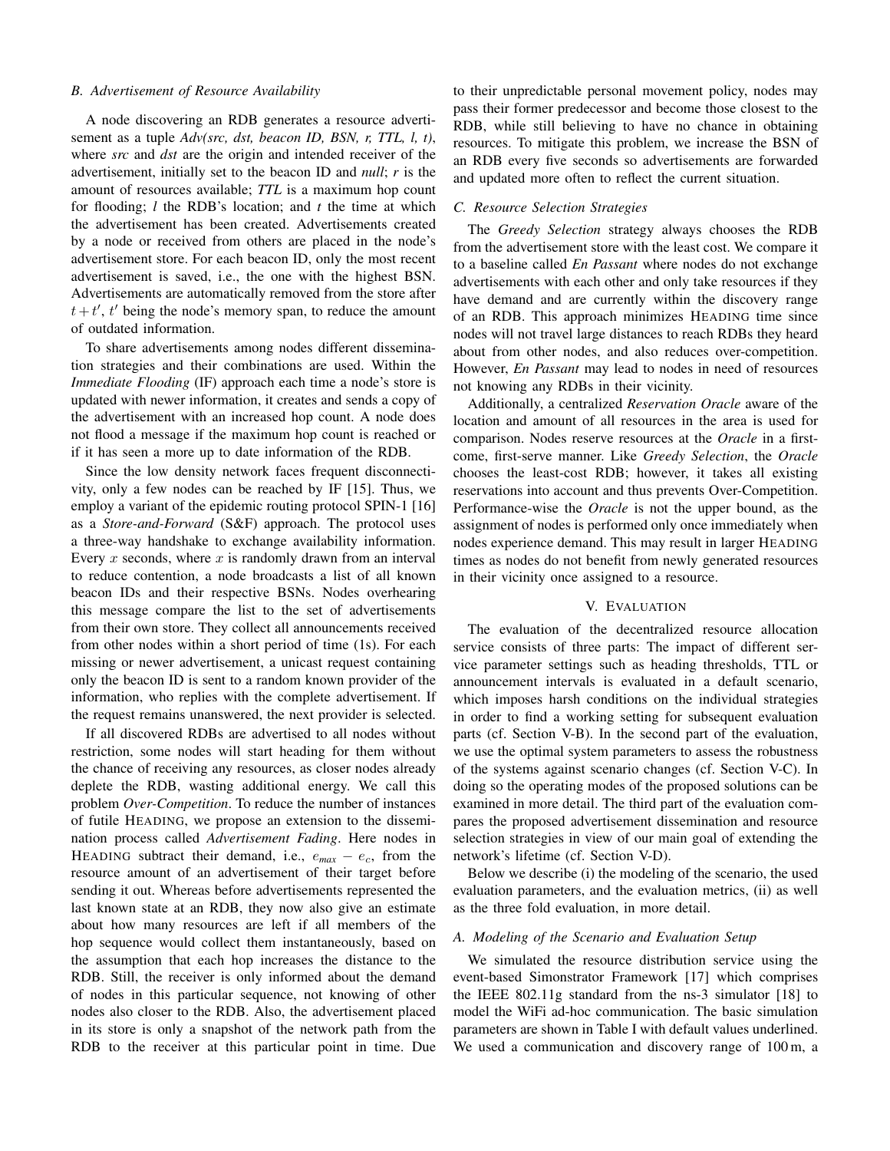#### *B. Advertisement of Resource Availability*

A node discovering an RDB generates a resource advertisement as a tuple *Adv(src, dst, beacon ID, BSN, r, TTL, l, t)*, where *src* and *dst* are the origin and intended receiver of the advertisement, initially set to the beacon ID and *null*; *r* is the amount of resources available; *TTL* is a maximum hop count for flooding; *l* the RDB's location; and *t* the time at which the advertisement has been created. Advertisements created by a node or received from others are placed in the node's advertisement store. For each beacon ID, only the most recent advertisement is saved, i.e., the one with the highest BSN. Advertisements are automatically removed from the store after  $t + t'$ ,  $t'$  being the node's memory span, to reduce the amount of outdated information.

To share advertisements among nodes different dissemination strategies and their combinations are used. Within the *Immediate Flooding* (IF) approach each time a node's store is updated with newer information, it creates and sends a copy of the advertisement with an increased hop count. A node does not flood a message if the maximum hop count is reached or if it has seen a more up to date information of the RDB.

Since the low density network faces frequent disconnectivity, only a few nodes can be reached by IF [15]. Thus, we employ a variant of the epidemic routing protocol SPIN-1 [16] as a *Store-and-Forward* (S&F) approach. The protocol uses a three-way handshake to exchange availability information. Every  $x$  seconds, where  $x$  is randomly drawn from an interval to reduce contention, a node broadcasts a list of all known beacon IDs and their respective BSNs. Nodes overhearing this message compare the list to the set of advertisements from their own store. They collect all announcements received from other nodes within a short period of time (1s). For each missing or newer advertisement, a unicast request containing only the beacon ID is sent to a random known provider of the information, who replies with the complete advertisement. If the request remains unanswered, the next provider is selected.

If all discovered RDBs are advertised to all nodes without restriction, some nodes will start heading for them without the chance of receiving any resources, as closer nodes already deplete the RDB, wasting additional energy. We call this problem *Over-Competition*. To reduce the number of instances of futile HEADING, we propose an extension to the dissemination process called *Advertisement Fading*. Here nodes in HEADING subtract their demand, i.e.,  $e_{max} - e_c$ , from the resource amount of an advertisement of their target before sending it out. Whereas before advertisements represented the last known state at an RDB, they now also give an estimate about how many resources are left if all members of the hop sequence would collect them instantaneously, based on the assumption that each hop increases the distance to the RDB. Still, the receiver is only informed about the demand of nodes in this particular sequence, not knowing of other nodes also closer to the RDB. Also, the advertisement placed in its store is only a snapshot of the network path from the RDB to the receiver at this particular point in time. Due

to their unpredictable personal movement policy, nodes may pass their former predecessor and become those closest to the RDB, while still believing to have no chance in obtaining resources. To mitigate this problem, we increase the BSN of an RDB every five seconds so advertisements are forwarded and updated more often to reflect the current situation.

### *C. Resource Selection Strategies*

The *Greedy Selection* strategy always chooses the RDB from the advertisement store with the least cost. We compare it to a baseline called *En Passant* where nodes do not exchange advertisements with each other and only take resources if they have demand and are currently within the discovery range of an RDB. This approach minimizes HEADING time since nodes will not travel large distances to reach RDBs they heard about from other nodes, and also reduces over-competition. However, *En Passant* may lead to nodes in need of resources not knowing any RDBs in their vicinity.

Additionally, a centralized *Reservation Oracle* aware of the location and amount of all resources in the area is used for comparison. Nodes reserve resources at the *Oracle* in a firstcome, first-serve manner. Like *Greedy Selection*, the *Oracle* chooses the least-cost RDB; however, it takes all existing reservations into account and thus prevents Over-Competition. Performance-wise the *Oracle* is not the upper bound, as the assignment of nodes is performed only once immediately when nodes experience demand. This may result in larger HEADING times as nodes do not benefit from newly generated resources in their vicinity once assigned to a resource.

#### V. EVALUATION

The evaluation of the decentralized resource allocation service consists of three parts: The impact of different service parameter settings such as heading thresholds, TTL or announcement intervals is evaluated in a default scenario, which imposes harsh conditions on the individual strategies in order to find a working setting for subsequent evaluation parts (cf. Section V-B). In the second part of the evaluation, we use the optimal system parameters to assess the robustness of the systems against scenario changes (cf. Section V-C). In doing so the operating modes of the proposed solutions can be examined in more detail. The third part of the evaluation compares the proposed advertisement dissemination and resource selection strategies in view of our main goal of extending the network's lifetime (cf. Section V-D).

Below we describe (i) the modeling of the scenario, the used evaluation parameters, and the evaluation metrics, (ii) as well as the three fold evaluation, in more detail.

#### *A. Modeling of the Scenario and Evaluation Setup*

We simulated the resource distribution service using the event-based Simonstrator Framework [17] which comprises the IEEE 802.11g standard from the ns-3 simulator [18] to model the WiFi ad-hoc communication. The basic simulation parameters are shown in Table I with default values underlined. We used a communication and discovery range of  $100 \text{ m}$ , a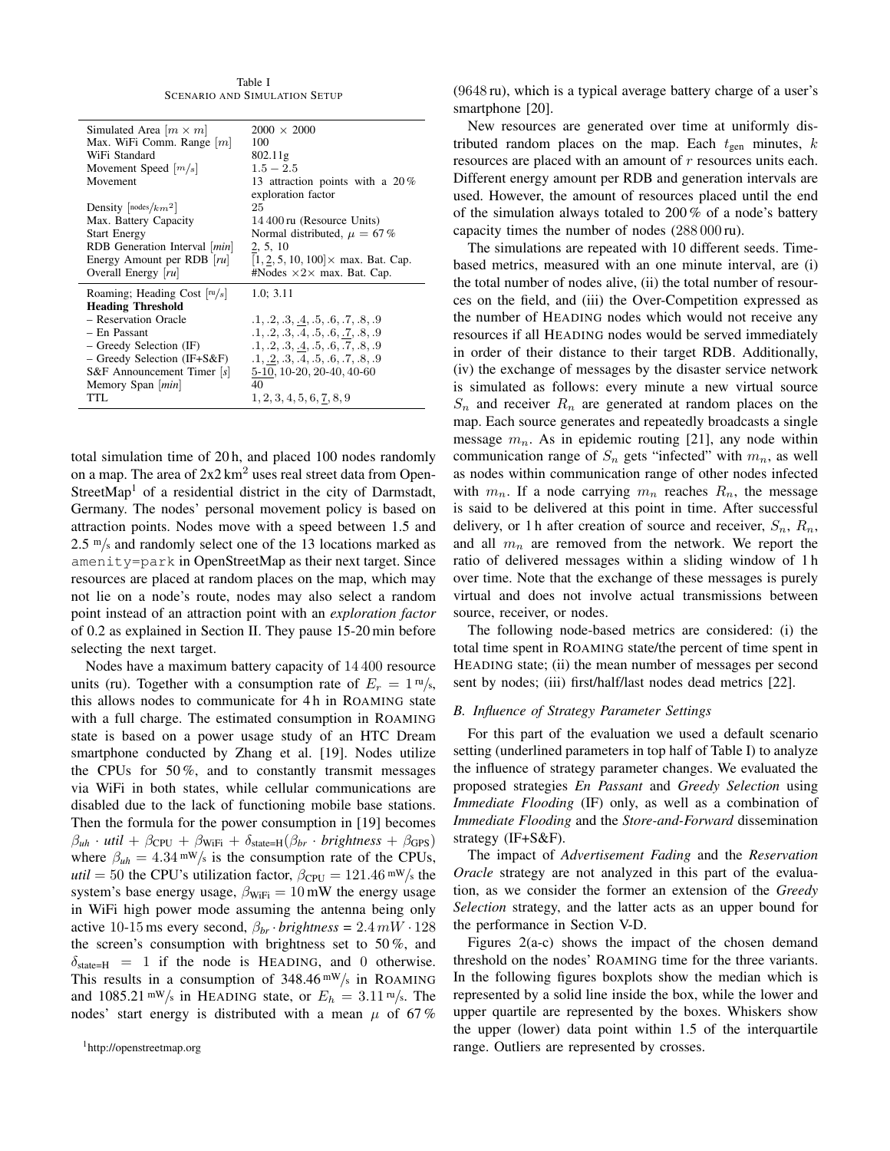Table I SCENARIO AND SIMULATION SETUP

| Simulated Area $ m \times m $                     | $2000 \times 2000$                         |
|---------------------------------------------------|--------------------------------------------|
| Max. WiFi Comm. Range $ m $                       | 100                                        |
| WiFi Standard                                     | 802.11g                                    |
| Movement Speed $ m/s $                            | $1.5 - 2.5$                                |
| Movement                                          | 13 attraction points with a $20\%$         |
|                                                   | exploration factor                         |
| Density   $\lfloor n \cdot \frac{1}{m^2} \rfloor$ | 25                                         |
| Max. Battery Capacity                             | 14 400 ru (Resource Units)                 |
| <b>Start Energy</b>                               | Normal distributed, $\mu = 67\%$           |
| RDB Generation Interval   min                     | 2, 5, 10                                   |
| Energy Amount per RDB $ ru $                      | $[1, 2, 5, 10, 100] \times$ max. Bat. Cap. |
| Overall Energy $ ru $                             | #Nodes $\times$ 2 $\times$ max. Bat. Cap.  |
| Roaming; Heading Cost $ {\rm ru/s} $              | 1.0; 3.11                                  |
| <b>Heading Threshold</b>                          |                                            |
| - Reservation Oracle                              | .1, .2, .3, .4, .5, .6, .7, .8, .9         |
| - En Passant                                      | .1, .2, .3, .4, .5, .6, .7, .8, .9         |
| – Greedy Selection (IF)                           | .1, .2, .3, .4, .5, .6, .7, .8, .9         |
| - Greedy Selection (IF+S&F)                       | .1, .2, .3, .4, .5, .6, .7, .8, .9         |
| $S\&F$ Announcement Timer  s                      | 5-10, 10-20, 20-40, 40-60                  |
| Memory Span   <i>min</i>                          | 40                                         |
| TTL                                               | 1, 2, 3, 4, 5, 6, 7, 8, 9                  |

total simulation time of 20 h, and placed 100 nodes randomly on a map. The area of  $2x2 \text{ km}^2$  uses real street data from Open-StreetMap<sup>1</sup> of a residential district in the city of Darmstadt, Germany. The nodes' personal movement policy is based on attraction points. Nodes move with a speed between 1.5 and  $2.5 \text{ m/s}$  and randomly select one of the 13 locations marked as amenity=park in OpenStreetMap as their next target. Since resources are placed at random places on the map, which may not lie on a node's route, nodes may also select a random point instead of an attraction point with an *exploration factor* of 0.2 as explained in Section II. They pause 15-20 min before selecting the next target.

Nodes have a maximum battery capacity of 14 400 resource units (ru). Together with a consumption rate of  $E_r = 1 \text{ m/s}$ , this allows nodes to communicate for 4 h in ROAMING state with a full charge. The estimated consumption in ROAMING state is based on a power usage study of an HTC Dream smartphone conducted by Zhang et al. [19]. Nodes utilize the CPUs for 50 %, and to constantly transmit messages via WiFi in both states, while cellular communications are disabled due to the lack of functioning mobile base stations. Then the formula for the power consumption in [19] becomes  $\beta_{uh} \cdot \textit{util} + \beta_{CPU} + \beta_{WiFi} + \delta_{state=H}(\beta_{br} \cdot \textit{brightness} + \beta_{GPS})$ where  $\beta_{uh} = 4.34 \text{ mW/s}$  is the consumption rate of the CPUs, *util* = 50 the CPU's utilization factor,  $\beta_{\text{CPU}} = 121.46 \text{ mW/s}$  the system's base energy usage,  $\beta_{\text{WiFi}} = 10 \text{ mW}$  the energy usage in WiFi high power mode assuming the antenna being only active 10-15 ms every second,  $\beta_{br} \cdot brightness = 2.4 \, mW \cdot 128$ the screen's consumption with brightness set to 50 %, and  $\delta_{\text{state=H}}$  = 1 if the node is HEADING, and 0 otherwise. This results in a consumption of  $348.46 \text{ mW/s}$  in ROAMING and 1085.21 mW/s in HEADING state, or  $E_h = 3.11 \text{ m/s}$ . The nodes' start energy is distributed with a mean  $\mu$  of 67%

(9648 ru), which is a typical average battery charge of a user's smartphone [20].

New resources are generated over time at uniformly distributed random places on the map. Each  $t_{gen}$  minutes,  $k$ resources are placed with an amount of  $r$  resources units each. Different energy amount per RDB and generation intervals are used. However, the amount of resources placed until the end of the simulation always totaled to 200 % of a node's battery capacity times the number of nodes (288 000 ru).

The simulations are repeated with 10 different seeds. Timebased metrics, measured with an one minute interval, are (i) the total number of nodes alive, (ii) the total number of resources on the field, and (iii) the Over-Competition expressed as the number of HEADING nodes which would not receive any resources if all HEADING nodes would be served immediately in order of their distance to their target RDB. Additionally, (iv) the exchange of messages by the disaster service network is simulated as follows: every minute a new virtual source  $S_n$  and receiver  $R_n$  are generated at random places on the map. Each source generates and repeatedly broadcasts a single message  $m_n$ . As in epidemic routing [21], any node within communication range of  $S_n$  gets "infected" with  $m_n$ , as well as nodes within communication range of other nodes infected with  $m_n$ . If a node carrying  $m_n$  reaches  $R_n$ , the message is said to be delivered at this point in time. After successful delivery, or 1 h after creation of source and receiver,  $S_n$ ,  $R_n$ , and all  $m_n$  are removed from the network. We report the ratio of delivered messages within a sliding window of 1 h over time. Note that the exchange of these messages is purely virtual and does not involve actual transmissions between source, receiver, or nodes.

The following node-based metrics are considered: (i) the total time spent in ROAMING state/the percent of time spent in HEADING state; (ii) the mean number of messages per second sent by nodes; (iii) first/half/last nodes dead metrics [22].

#### *B. Influence of Strategy Parameter Settings*

For this part of the evaluation we used a default scenario setting (underlined parameters in top half of Table I) to analyze the influence of strategy parameter changes. We evaluated the proposed strategies *En Passant* and *Greedy Selection* using *Immediate Flooding* (IF) only, as well as a combination of *Immediate Flooding* and the *Store-and-Forward* dissemination strategy (IF+S&F).

The impact of *Advertisement Fading* and the *Reservation Oracle* strategy are not analyzed in this part of the evaluation, as we consider the former an extension of the *Greedy Selection* strategy, and the latter acts as an upper bound for the performance in Section V-D.

Figures 2(a-c) shows the impact of the chosen demand threshold on the nodes' ROAMING time for the three variants. In the following figures boxplots show the median which is represented by a solid line inside the box, while the lower and upper quartile are represented by the boxes. Whiskers show the upper (lower) data point within 1.5 of the interquartile range. Outliers are represented by crosses.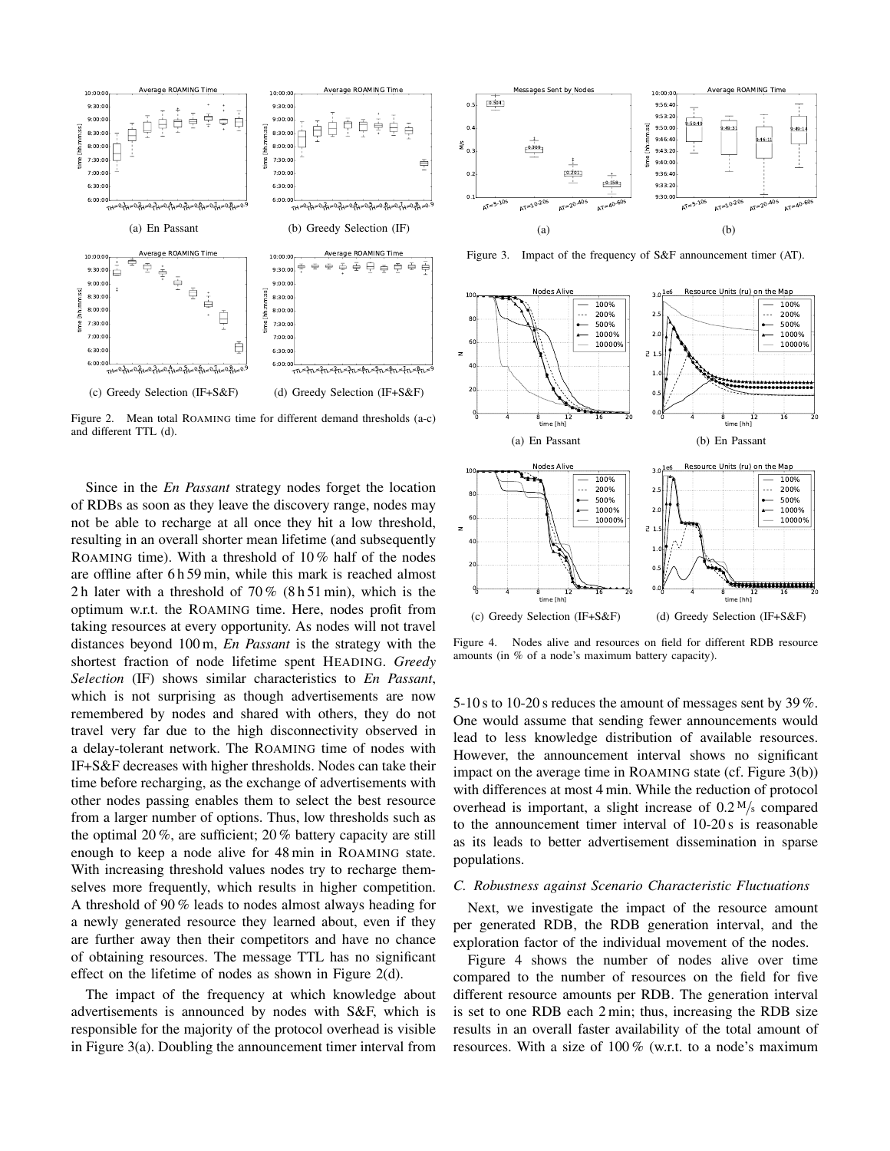

Figure 2. Mean total ROAMING time for different demand thresholds (a-c) and different TTL (d).

Since in the *En Passant* strategy nodes forget the location of RDBs as soon as they leave the discovery range, nodes may not be able to recharge at all once they hit a low threshold, resulting in an overall shorter mean lifetime (and subsequently ROAMING time). With a threshold of 10 % half of the nodes are offline after 6 h 59 min, while this mark is reached almost 2 h later with a threshold of 70 % (8 h 51 min), which is the optimum w.r.t. the ROAMING time. Here, nodes profit from taking resources at every opportunity. As nodes will not travel distances beyond 100 m, *En Passant* is the strategy with the shortest fraction of node lifetime spent HEADING. *Greedy Selection* (IF) shows similar characteristics to *En Passant*, which is not surprising as though advertisements are now remembered by nodes and shared with others, they do not travel very far due to the high disconnectivity observed in a delay-tolerant network. The ROAMING time of nodes with IF+S&F decreases with higher thresholds. Nodes can take their time before recharging, as the exchange of advertisements with other nodes passing enables them to select the best resource from a larger number of options. Thus, low thresholds such as the optimal 20 %, are sufficient; 20 % battery capacity are still enough to keep a node alive for 48 min in ROAMING state. With increasing threshold values nodes try to recharge themselves more frequently, which results in higher competition. A threshold of 90 % leads to nodes almost always heading for a newly generated resource they learned about, even if they are further away then their competitors and have no chance of obtaining resources. The message TTL has no significant effect on the lifetime of nodes as shown in Figure 2(d).

The impact of the frequency at which knowledge about advertisements is announced by nodes with S&F, which is responsible for the majority of the protocol overhead is visible in Figure 3(a). Doubling the announcement timer interval from



Figure 3. Impact of the frequency of S&F announcement timer (AT).



Figure 4. Nodes alive and resources on field for different RDB resource amounts (in % of a node's maximum battery capacity).

5-10 s to 10-20 s reduces the amount of messages sent by 39 %. One would assume that sending fewer announcements would lead to less knowledge distribution of available resources. However, the announcement interval shows no significant impact on the average time in ROAMING state (cf. Figure 3(b)) with differences at most 4 min. While the reduction of protocol overhead is important, a slight increase of 0.2 <sup>M</sup>/<sup>s</sup> compared to the announcement timer interval of 10-20 s is reasonable as its leads to better advertisement dissemination in sparse populations.

#### *C. Robustness against Scenario Characteristic Fluctuations*

Next, we investigate the impact of the resource amount per generated RDB, the RDB generation interval, and the exploration factor of the individual movement of the nodes.

Figure 4 shows the number of nodes alive over time compared to the number of resources on the field for five different resource amounts per RDB. The generation interval is set to one RDB each 2 min; thus, increasing the RDB size results in an overall faster availability of the total amount of resources. With a size of 100 % (w.r.t. to a node's maximum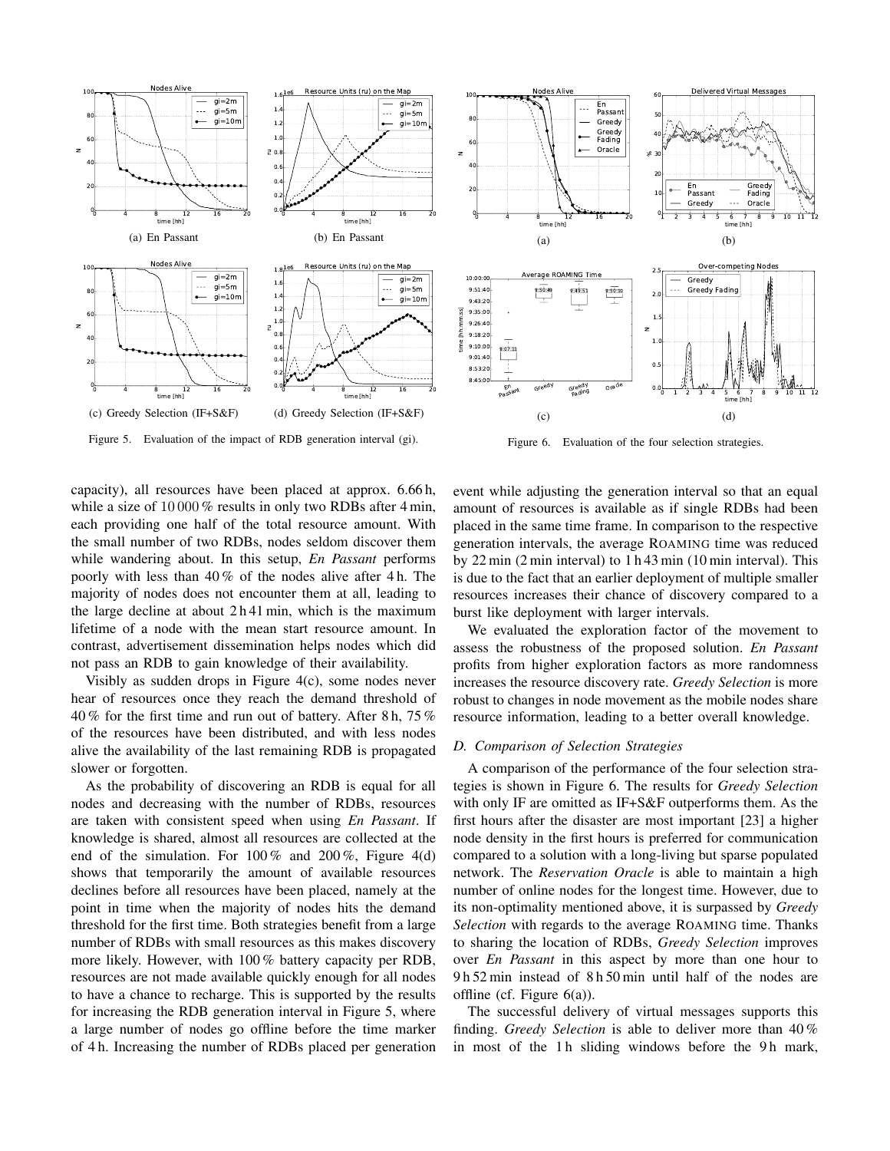

Figure 5. Evaluation of the impact of RDB generation interval (gi).



 $60 -$ 

Delivered Virtual Messages

(d)

 $100 -$ 

Nodes Alive

(c)

event while adjusting the generation interval so that an equal amount of resources is available as if single RDBs had been placed in the same time frame. In comparison to the respective generation intervals, the average ROAMING time was reduced by 22 min (2 min interval) to 1 h 43 min (10 min interval). This is due to the fact that an earlier deployment of multiple smaller resources increases their chance of discovery compared to a burst like deployment with larger intervals.

Figure 6. Evaluation of the four selection strategies.

We evaluated the exploration factor of the movement to assess the robustness of the proposed solution. *En Passant* profits from higher exploration factors as more randomness increases the resource discovery rate. *Greedy Selection* is more robust to changes in node movement as the mobile nodes share resource information, leading to a better overall knowledge.

#### *D. Comparison of Selection Strategies*

A comparison of the performance of the four selection strategies is shown in Figure 6. The results for *Greedy Selection* with only IF are omitted as IF+S&F outperforms them. As the first hours after the disaster are most important [23] a higher node density in the first hours is preferred for communication compared to a solution with a long-living but sparse populated network. The *Reservation Oracle* is able to maintain a high number of online nodes for the longest time. However, due to its non-optimality mentioned above, it is surpassed by *Greedy Selection* with regards to the average ROAMING time. Thanks to sharing the location of RDBs, *Greedy Selection* improves over *En Passant* in this aspect by more than one hour to 9 h 52 min instead of 8 h 50 min until half of the nodes are offline (cf. Figure  $6(a)$ ).

The successful delivery of virtual messages supports this finding. *Greedy Selection* is able to deliver more than 40 % in most of the 1h sliding windows before the 9h mark,

capacity), all resources have been placed at approx. 6.66 h, while a size of 10 000 % results in only two RDBs after 4 min, each providing one half of the total resource amount. With the small number of two RDBs, nodes seldom discover them while wandering about. In this setup, *En Passant* performs poorly with less than 40 % of the nodes alive after 4 h. The majority of nodes does not encounter them at all, leading to the large decline at about 2 h 41 min, which is the maximum

contrast, advertisement dissemination helps nodes which did not pass an RDB to gain knowledge of their availability. Visibly as sudden drops in Figure 4(c), some nodes never

lifetime of a node with the mean start resource amount. In

hear of resources once they reach the demand threshold of 40 % for the first time and run out of battery. After 8 h, 75 % of the resources have been distributed, and with less nodes alive the availability of the last remaining RDB is propagated slower or forgotten.

As the probability of discovering an RDB is equal for all nodes and decreasing with the number of RDBs, resources are taken with consistent speed when using *En Passant*. If knowledge is shared, almost all resources are collected at the end of the simulation. For  $100\%$  and  $200\%$ , Figure 4(d) shows that temporarily the amount of available resources declines before all resources have been placed, namely at the point in time when the majority of nodes hits the demand threshold for the first time. Both strategies benefit from a large number of RDBs with small resources as this makes discovery more likely. However, with 100 % battery capacity per RDB, resources are not made available quickly enough for all nodes to have a chance to recharge. This is supported by the results for increasing the RDB generation interval in Figure 5, where a large number of nodes go offline before the time marker of 4 h. Increasing the number of RDBs placed per generation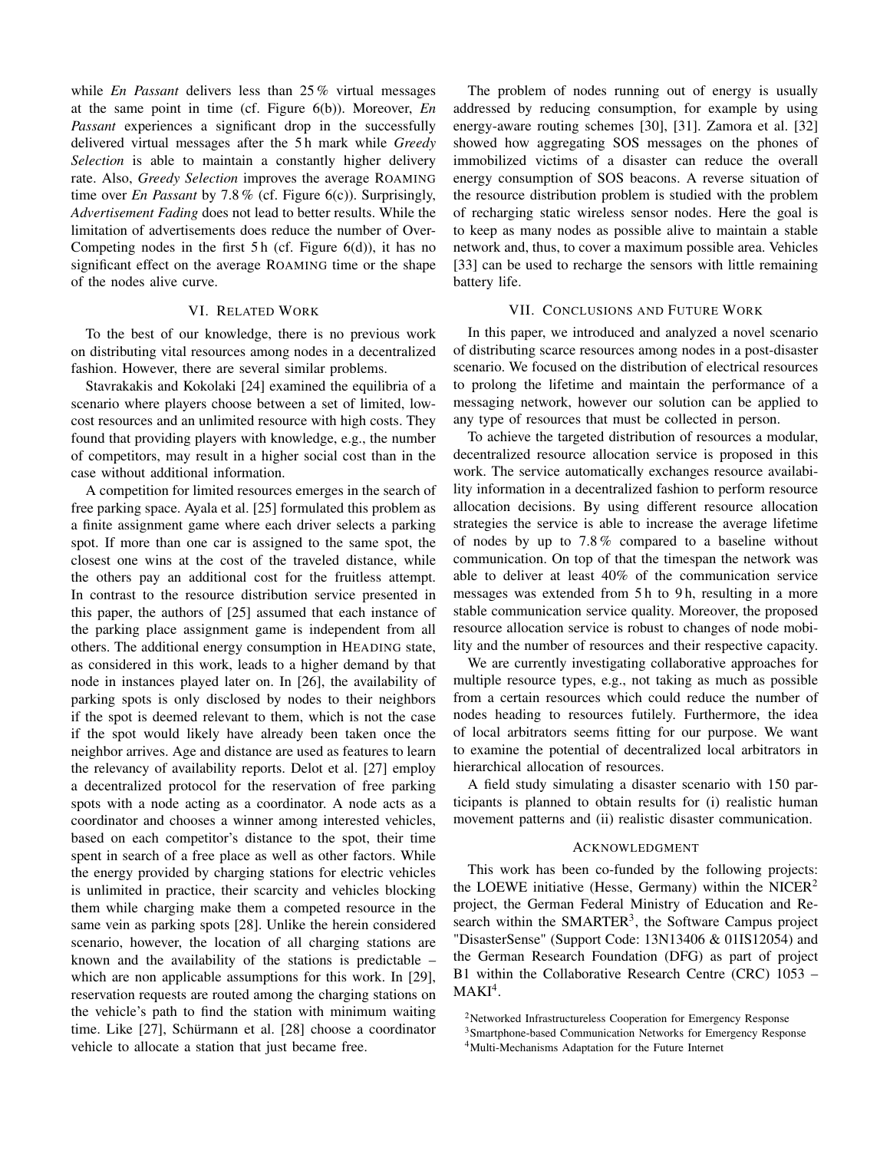while *En Passant* delivers less than 25 % virtual messages at the same point in time (cf. Figure 6(b)). Moreover, *En Passant* experiences a significant drop in the successfully delivered virtual messages after the 5 h mark while *Greedy Selection* is able to maintain a constantly higher delivery rate. Also, *Greedy Selection* improves the average ROAMING time over *En Passant* by 7.8 % (cf. Figure 6(c)). Surprisingly, *Advertisement Fading* does not lead to better results. While the limitation of advertisements does reduce the number of Over-Competing nodes in the first  $5h$  (cf. Figure  $6(d)$ ), it has no significant effect on the average ROAMING time or the shape of the nodes alive curve.

## VI. RELATED WORK

To the best of our knowledge, there is no previous work on distributing vital resources among nodes in a decentralized fashion. However, there are several similar problems.

Stavrakakis and Kokolaki [24] examined the equilibria of a scenario where players choose between a set of limited, lowcost resources and an unlimited resource with high costs. They found that providing players with knowledge, e.g., the number of competitors, may result in a higher social cost than in the case without additional information.

A competition for limited resources emerges in the search of free parking space. Ayala et al. [25] formulated this problem as a finite assignment game where each driver selects a parking spot. If more than one car is assigned to the same spot, the closest one wins at the cost of the traveled distance, while the others pay an additional cost for the fruitless attempt. In contrast to the resource distribution service presented in this paper, the authors of [25] assumed that each instance of the parking place assignment game is independent from all others. The additional energy consumption in HEADING state, as considered in this work, leads to a higher demand by that node in instances played later on. In [26], the availability of parking spots is only disclosed by nodes to their neighbors if the spot is deemed relevant to them, which is not the case if the spot would likely have already been taken once the neighbor arrives. Age and distance are used as features to learn the relevancy of availability reports. Delot et al. [27] employ a decentralized protocol for the reservation of free parking spots with a node acting as a coordinator. A node acts as a coordinator and chooses a winner among interested vehicles, based on each competitor's distance to the spot, their time spent in search of a free place as well as other factors. While the energy provided by charging stations for electric vehicles is unlimited in practice, their scarcity and vehicles blocking them while charging make them a competed resource in the same vein as parking spots [28]. Unlike the herein considered scenario, however, the location of all charging stations are known and the availability of the stations is predictable – which are non applicable assumptions for this work. In [29], reservation requests are routed among the charging stations on the vehicle's path to find the station with minimum waiting time. Like [27], Schürmann et al. [28] choose a coordinator vehicle to allocate a station that just became free.

The problem of nodes running out of energy is usually addressed by reducing consumption, for example by using energy-aware routing schemes [30], [31]. Zamora et al. [32] showed how aggregating SOS messages on the phones of immobilized victims of a disaster can reduce the overall energy consumption of SOS beacons. A reverse situation of the resource distribution problem is studied with the problem of recharging static wireless sensor nodes. Here the goal is to keep as many nodes as possible alive to maintain a stable network and, thus, to cover a maximum possible area. Vehicles [33] can be used to recharge the sensors with little remaining battery life.

#### VII. CONCLUSIONS AND FUTURE WORK

In this paper, we introduced and analyzed a novel scenario of distributing scarce resources among nodes in a post-disaster scenario. We focused on the distribution of electrical resources to prolong the lifetime and maintain the performance of a messaging network, however our solution can be applied to any type of resources that must be collected in person.

To achieve the targeted distribution of resources a modular, decentralized resource allocation service is proposed in this work. The service automatically exchanges resource availability information in a decentralized fashion to perform resource allocation decisions. By using different resource allocation strategies the service is able to increase the average lifetime of nodes by up to 7.8 % compared to a baseline without communication. On top of that the timespan the network was able to deliver at least 40% of the communication service messages was extended from 5h to 9h, resulting in a more stable communication service quality. Moreover, the proposed resource allocation service is robust to changes of node mobility and the number of resources and their respective capacity.

We are currently investigating collaborative approaches for multiple resource types, e.g., not taking as much as possible from a certain resources which could reduce the number of nodes heading to resources futilely. Furthermore, the idea of local arbitrators seems fitting for our purpose. We want to examine the potential of decentralized local arbitrators in hierarchical allocation of resources.

A field study simulating a disaster scenario with 150 participants is planned to obtain results for (i) realistic human movement patterns and (ii) realistic disaster communication.

#### ACKNOWLEDGMENT

This work has been co-funded by the following projects: the LOEWE initiative (Hesse, Germany) within the NICER<sup>2</sup> project, the German Federal Ministry of Education and Research within the SMARTER<sup>3</sup>, the Software Campus project "DisasterSense" (Support Code: 13N13406 & 01IS12054) and the German Research Foundation (DFG) as part of project B1 within the Collaborative Research Centre (CRC) 1053 –  $MAKI<sup>4</sup>$ .

<sup>2</sup>Networked Infrastructureless Cooperation for Emergency Response

<sup>3</sup>Smartphone-based Communication Networks for Emergency Response <sup>4</sup>Multi-Mechanisms Adaptation for the Future Internet